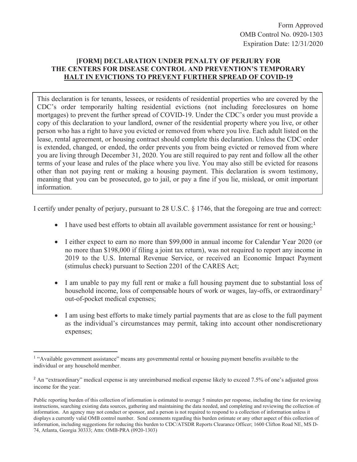Form Approved OMB Control No. 0920-1303 Expiration Date: 12/31/2020

## **[FORM] DECLARATION UNDER PENALTY OF PERJURY FOR THE CENTERS FOR DISEASE CONTROL AND PREVENTION'S TEMPORARY HALT IN EVICTIONS TO PREVENT FURTHER SPREAD OF COVID-19**

This declaration is for tenants, lessees, or residents of residential properties who are covered by the CDC's order temporarily halting residential evictions (not including foreclosures on home mortgages) to prevent the further spread of COVID-19. Under the CDC's order you must provide a copy of this declaration to your landlord, owner of the residential property where you live, or other person who has a right to have you evicted or removed from where you live. Each adult listed on the lease, rental agreement, or housing contract should complete this declaration. Unless the CDC order is extended, changed, or ended, the order prevents you from being evicted or removed from where you are living through December 31, 2020. You are still required to pay rent and follow all the other terms of your lease and rules of the place where you live. You may also still be evicted for reasons other than not paying rent or making a housing payment. This declaration is sworn testimony, meaning that you can be prosecuted, go to jail, or pay a fine if you lie, mislead, or omit important information.

I certify under penalty of perjury, pursuant to 28 U.S.C. § 1746, that the foregoing are true and correct:

- $\bullet$  I have used best efforts to obtain all available government assistance for rent or housing;<sup>1</sup>
- I either expect to earn no more than \$99,000 in annual income for Calendar Year 2020 (or no more than \$198,000 if filing a joint tax return), was not required to report any income in 2019 to the U.S. Internal Revenue Service, or received an Economic Impact Payment (stimulus check) pursuant to Section 2201 of the CARES Act;
- I am unable to pay my full rent or make a full housing payment due to substantial loss of household income, loss of compensable hours of work or wages, lay-offs, or extraordinary<sup>2</sup> out-of-pocket medical expenses;
- I am using best efforts to make timely partial payments that are as close to the full payment as the individual's circumstances may permit, taking into account other nondiscretionary expenses;

<sup>&</sup>lt;sup>1</sup> "Available government assistance" means any governmental rental or housing payment benefits available to the individual or any household member.

<sup>&</sup>lt;sup>2</sup> An "extraordinary" medical expense is any unreimbursed medical expense likely to exceed 7.5% of one's adjusted gross income for the year.

Public reporting burden of this collection of information is estimated to average 5 minutes per response, including the time for reviewing instructions, searching existing data sources, gathering and maintaining the data needed, and completing and reviewing the collection of information. An agency may not conduct or sponsor, and a person is not required to respond to a collection of information unless it displays a currently valid OMB control number. Send comments regarding this burden estimate or any other aspect of this collection of information, including suggestions for reducing this burden to CDC/ATSDR Reports Clearance Officer; 1600 Clifton Road NE, MS D-74, Atlanta, Georgia 30333; Attn: OMB-PRA (0920-1303)